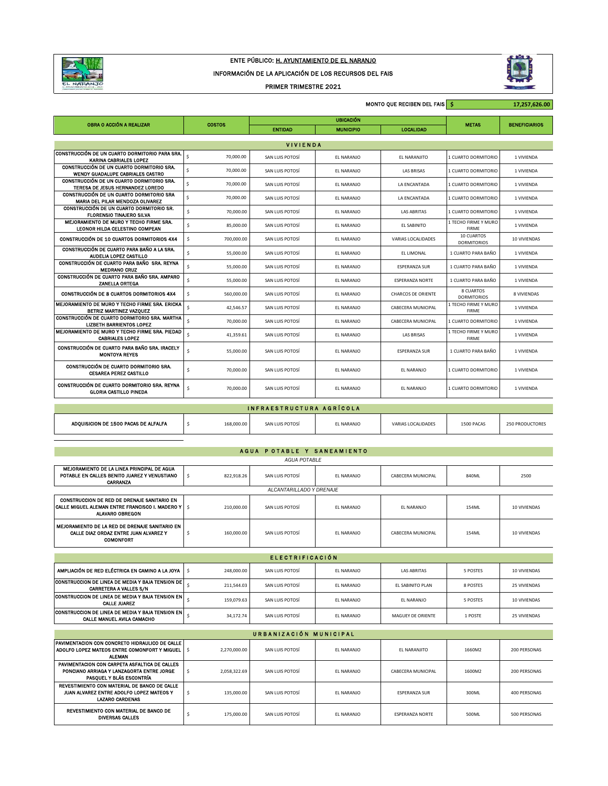

## ENTE PÚBLICO: H. AYUNTAMIENTO DE EL NARANJO

## INFORMACIÓN DE LA APLICACIÓN DE LOS RECURSOS DEL FAIS

## PRIMER TRIMESTRE 2021



|                                                                                  |                           |                  |                  | MONTO QUE RECIBEN DEL FAIS S |                                      | 17,257,626.00        |  |  |
|----------------------------------------------------------------------------------|---------------------------|------------------|------------------|------------------------------|--------------------------------------|----------------------|--|--|
|                                                                                  |                           | <b>UBICACIÓN</b> |                  |                              |                                      |                      |  |  |
| OBRA O ACCIÓN A REALIZAR                                                         | <b>COSTOS</b>             | <b>ENTIDAD</b>   | <b>MUNICIPIO</b> | <b>LOCALIDAD</b>             | <b>METAS</b>                         | <b>BENEFICIARIOS</b> |  |  |
|                                                                                  |                           |                  |                  |                              |                                      |                      |  |  |
|                                                                                  |                           | <b>VIVIENDA</b>  |                  |                              |                                      |                      |  |  |
| CONSTRUCCIÓN DE UN CUARTO DORMITORIO PARA SRA.<br><b>KARINA CABRIALES LOPEZ</b>  | $\mathsf{s}$<br>70,000.00 | SAN LUIS POTOSÍ  | EL NARANJO       | EL NARANJITO                 | 1 CUARTO DORMITORIO                  | 1 VIVIENDA           |  |  |
| CONSTRUCCIÓN DE UN CUARTO DORMITORIO SRA.<br>WENDY GUADALUPE CABRIALES CASTRO    | \$<br>70,000.00           | SAN LUIS POTOSÍ  | EL NARANJO       | <b>LAS BRISAS</b>            | 1 CUARTO DORMITORIO                  | 1 VIVIENDA           |  |  |
| CONSTRUCCIÓN DE UN CUARTO DORMITORIO SRA.<br>TERESA DE JESUS HERNANDEZ LOREDO    | \$<br>70,000.00           | SAN LUIS POTOSÍ  | EL NARANJO       | LA ENCANTADA                 | 1 CUARTO DORMITORIO                  | 1 VIVIENDA           |  |  |
| CONSTRUCCIÓN DE UN CUARTO DORMITORIO SRA<br>MARIA DEL PILAR MENDOZA OLIVAREZ     | \$<br>70,000.00           | SAN LUIS POTOSÍ  | EL NARANJO       | LA ENCANTADA                 | 1 CUARTO DORMITORIO                  | 1 VIVIENDA           |  |  |
| CONSTRUCCIÓN DE UN CUARTO DORMITORIO SR.<br><b>FLORENSIO TINAJERO SILVA</b>      | \$<br>70,000.00           | SAN LUIS POTOSÍ  | EL NARANJO       | <b>LAS ABRITAS</b>           | 1 CUARTO DORMITORIO                  | 1 VIVIENDA           |  |  |
| MEJORAMIENTO DE MURO Y TECHO FIRME SRA.<br>LEONOR HILDA CELESTINO COMPEAN        | \$<br>85,000.00           | SAN LUIS POTOSÍ  | EL NARANJO       | EL SABINITO                  | 1 TECHO FIRME Y MURO<br><b>FIRME</b> | 1 VIVIENDA           |  |  |
| CONSTRUCCIÓN DE 10 CUARTOS DORMITORIOS 4X4                                       | \$<br>700,000.00          | SAN LUIS POTOSÍ  | EL NARANJO       | VARIAS LOCALIDADES           | 10 CUARTOS<br><b>DORMITORIOS</b>     | 10 VIVIENDAS         |  |  |
| CONSTRUCCIÓN DE CUARTO PARA BAÑO A LA SRA.<br>AUDELIA LOPEZ CASTILLO             | \$<br>55,000.00           | SAN LUIS POTOSÍ  | EL NARANJO       | EL LIMONAL                   | 1 CUARTO PARA BAÑO                   | 1 VIVIENDA           |  |  |
| CONSTRUCCIÓN DE CUARTO PARA BAÑO SRA. REYNA<br><b>MEDRANO CRUZ</b>               | \$<br>55,000.00           | SAN LUIS POTOSÍ  | EL NARANJO       | <b>ESPERANZA SUR</b>         | 1 CUARTO PARA BAÑO                   | 1 VIVIENDA           |  |  |
| CONSTRUCCIÓN DE CUARTO PARA BAÑO SRA, AMPARO<br>ZANELLA ORTEGA                   | \$<br>55,000.00           | SAN LUIS POTOSÍ  | EL NARANJO       | <b>ESPERANZA NORTE</b>       | 1 CUARTO PARA BAÑO                   | 1 VIVIENDA           |  |  |
| CONSTRUCCIÓN DE 8 CUARTOS DORMITORIOS 4X4                                        | \$<br>560,000.00          | SAN LUIS POTOSÍ  | EL NARANJO       | <b>CHARCOS DE ORIENTE</b>    | 8 CUARTOS<br><b>DORMITORIOS</b>      | 8 VIVIENDAS          |  |  |
| MEJORAMIENTO DE MURO Y TECHO FIRME SRA, ERICKA<br>BETRIZ MARTINEZ VAZOUEZ        | \$<br>42,546.57           | SAN LUIS POTOSÍ  | EL NARANJO       | CABECERA MUNICIPAL           | 1 TECHO FIRME Y MURO<br><b>FIRME</b> | 1 VIVIENDA           |  |  |
| CONSTRUCCIÓN DE CUARTO DORMITORIO SRA. MARTHA<br><b>LIZBETH BARRIENTOS LOPEZ</b> | \$<br>70,000.00           | SAN LUIS POTOSÍ  | EL NARANJO       | CABECERA MUNICIPAL           | 1 CUARTO DORMITORIO                  | 1 VIVIENDA           |  |  |
| MEJORAMIENTO DE MURO Y TECHO FIRME SRA. PIEDAD<br><b>CABRIALES LOPEZ</b>         | \$<br>41,359.61           | SAN LUIS POTOSÍ  | EL NARANJO       | <b>LAS BRISAS</b>            | 1 TECHO FIRME Y MURO<br><b>FIRME</b> | 1 VIVIENDA           |  |  |
| CONSTRUCCIÓN DE CUARTO PARA BAÑO SRA. IRACELY<br><b>MONTOYA REYES</b>            | \$<br>55,000.00           | SAN LUIS POTOSÍ  | EL NARANJO       | <b>ESPERANZA SUR</b>         | 1 CUARTO PARA BAÑO                   | 1 VIVIENDA           |  |  |
| CONSTRUCCIÓN DE CUARTO DORMITORIO SRA.<br><b>CESAREA PEREZ CASTILLO</b>          | \$<br>70,000.00           | SAN LUIS POTOSÍ  | EL NARANJO       | EL NARANJO                   | 1 CUARTO DORMITORIO                  | 1 VIVIENDA           |  |  |
| CONSTRUCCIÓN DE CUARTO DORMITORIO SRA, REYNA<br><b>GLORIA CASTILLO PINEDA</b>    | \$<br>70,000.00           | SAN LUIS POTOSÍ  | EL NARANJO       | EL NARANJO                   | 1 CUARTO DORMITORIO                  | 1 VIVIENDA           |  |  |
|                                                                                  |                           |                  |                  |                              |                                      |                      |  |  |
| INFRAESTRUCTURA AGRÍCOLA                                                         |                           |                  |                  |                              |                                      |                      |  |  |

| ADOUISICION DE 1500 PACAS DE ALFALFA | 168,000.00 | SAN LUIS POTOSÍ | L NARANJO | VARIAS LOCALIDADES<br>the contract of the contract of the contract of the contract of the contract of the contract of the contract of | 1500 PACAS | <b>250 PRODUCTORES</b> |
|--------------------------------------|------------|-----------------|-----------|---------------------------------------------------------------------------------------------------------------------------------------|------------|------------------------|
|--------------------------------------|------------|-----------------|-----------|---------------------------------------------------------------------------------------------------------------------------------------|------------|------------------------|

| AGUA POTABLE Y SANEAMIENTO |  |
|----------------------------|--|
|                            |  |

| <b>AGUA POTABLE</b>                                                                                                                 |                  |                          |            |                    |          |                     |  |
|-------------------------------------------------------------------------------------------------------------------------------------|------------------|--------------------------|------------|--------------------|----------|---------------------|--|
| MEJORAMIENTO DE LA LINEA PRINCIPAL DE AGUA<br>POTABLE EN CALLES BENITO JUAREZ Y VENUSTIANO<br>CARRANZA                              | Ś<br>822.918.26  | SAN LUIS POTOSÍ          | EL NARANJO | CABECERA MUNICIPAL | 840ML    | 2500                |  |
|                                                                                                                                     |                  | ALCANTARILLADO Y DRENAJE |            |                    |          |                     |  |
| CONSTRUCCION DE RED DE DRENAJE SANITARIO EN<br><b>CALLE MIGUEL ALEMAN ENTRE FRANCISCO I. MADERO Y I S</b><br><b>ALAVARO OBREGON</b> | 210,000,00       | SAN LUIS POTOSÍ          | EL NARANJO | EL NARANJO         | 154ML    | <b>10 VIVIENDAS</b> |  |
| MEJORAMIENTO DE LA RED DE DRENAJE SANITARIO EN<br>CALLE DIAZ ORDAZ ENTRE JUAN ALVAREZ Y<br><b>COMONFORT</b>                         | \$<br>160,000,00 | SAN LUIS POTOSÍ          | EL NARANJO | CABECERA MUNICIPAL | 154ML    | 10 VIVIENDAS        |  |
| <b>ELECTRIFICACIÓN</b>                                                                                                              |                  |                          |            |                    |          |                     |  |
|                                                                                                                                     |                  |                          |            |                    |          |                     |  |
| AMPLIACIÓN DE RED ELÉCTRICA EN CAMINO A LA JOYA                                                                                     | Ś<br>248,000.00  | SAN LUIS POTOSÍ          | EL NARANJO | <b>LAS ABRITAS</b> | 5 POSTES | 10 VIVIENDAS        |  |
| CONSTRUCCION DE LINEA DE MEDIA Y BAJA TENSION DE<br><b>CARRETERA A VALLES S/N</b>                                                   | Ś<br>211.544.03  | SAN LUIS POTOSÍ          | EL NARANJO | EL SABINITO PLAN   | 8 POSTES | <b>25 VIVIENDAS</b> |  |
| CONSTRUCCION DE LINEA DE MEDIA Y BAJA TENSION EN<br><b>CALLE JUAREZ</b>                                                             | 159,079.63<br>Ŝ. | SAN LUIS POTOSÍ          | EL NARANJO | EL NARANJO         | 5 POSTES | 10 VIVIENDAS        |  |
| CONSTRUCCION DE LINEA DE MEDIA Y BAJA TENSION EN<br><b>CALLE MANUEL AVILA CAMACHO</b>                                               | 34.172.74<br>Ś   | SAN LUIS POTOSÍ          | EL NARANJO | MAGUEY DE ORIENTE  | 1 POSTE  | <b>25 VIVIENDAS</b> |  |
| URBANIZACIÓN MUNICIPAL                                                                                                              |                  |                          |            |                    |          |                     |  |
| PAVIMENTACION CON CONCRETO HIDRAULICO DE CALLE                                                                                      |                  |                          |            |                    |          |                     |  |

| PAVIMENTACION CON CONCRETO HIDRAULICO DE CALLE  <br>  ADOLFO LOPEZ MATEOS ENTRE COMONFORT Y MIGUEL   \$<br><b>ALEMAN</b> | 2.270.000.00 | SAN LUIS POTOSÍ | EL NARANJO | EL NARANJITO           | 1660M2 | 200 PERSONAS |
|--------------------------------------------------------------------------------------------------------------------------|--------------|-----------------|------------|------------------------|--------|--------------|
| PAVIMENTACION CON CARPETA ASFALTICA DE CALLES<br>PONCIANO ARRIAGA Y LANZAGORTA ENTRE JORGE<br>PASOUEL Y BLÁS ESCONTRÍA   | 2.058.322.69 | SAN LUIS POTOSÍ | FI NARANIO | CABECERA MUNICIPAL     | 1600M2 | 200 PERSONAS |
| REVESTIMIENTO CON MATERIAL DE BANCO DE CALLE<br>JUAN ALVAREZ ENTRE ADOLFO LOPEZ MATEOS Y<br><b>LAZARO CARDENAS</b>       | 135,000.00   | SAN LUIS POTOSÍ | FI NARANIO | <b>FSPERANZA SUR</b>   | 300ML  | 400 PERSONAS |
| REVESTIMIENTO CON MATERIAL DE BANCO DE<br><b>DIVERSAS CALLES</b>                                                         | 175,000.00   | SAN LUIS POTOSÍ | EL NARANJO | <b>ESPERANZA NORTE</b> | 500ML  | 500 PERSONAS |